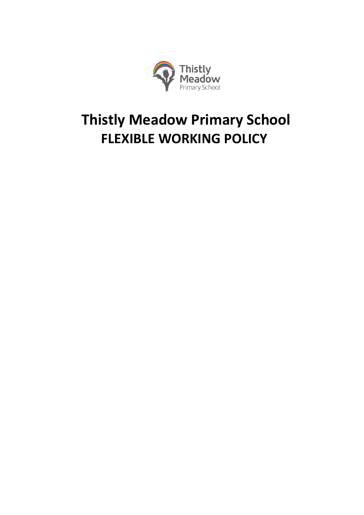

# **Thistly Meadow Primary School FLEXIBLE WORKING POLICY**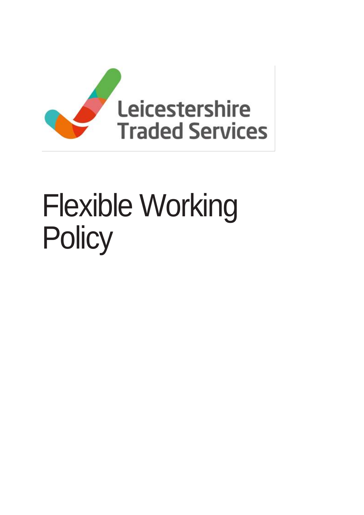

# Flexible Working Policy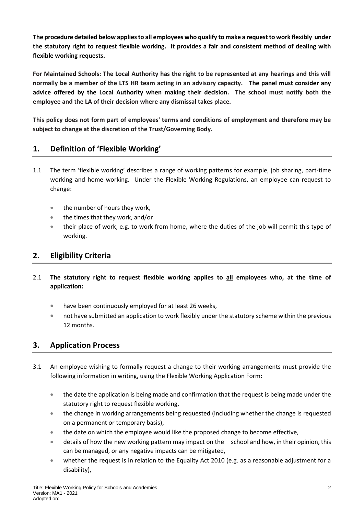**The procedure detailed below applies to all employees who qualify to make a request to work flexibly under the statutory right to request flexible working. It provides a fair and consistent method of dealing with flexible working requests.** 

**For Maintained Schools: The Local Authority has the right to be represented at any hearings and this will normally be a member of the LTS HR team acting in an advisory capacity. The panel must consider any advice offered by the Local Authority when making their decision. The school must notify both the employee and the LA of their decision where any dismissal takes place.** 

**This policy does not form part of employees' terms and conditions of employment and therefore may be subject to change at the discretion of the Trust/Governing Body.** 

### **1. Definition of 'Flexible Working'**

- 1.1 The term 'flexible working' describes a range of working patterns for example, job sharing, part-time working and home working. Under the Flexible Working Regulations, an employee can request to change:
	- the number of hours they work,
	- the times that they work, and/or
	- their place of work, e.g. to work from home, where the duties of the job will permit this type of working.

#### **2. Eligibility Criteria**

- 2.1 **The statutory right to request flexible working applies to all employees who, at the time of application:**
	- have been continuously employed for at least 26 weeks,
	- not have submitted an application to work flexibly under the statutory scheme within the previous 12 months.

#### **3. Application Process**

- 3.1 An employee wishing to formally request a change to their working arrangements must provide the following information in writing, using the Flexible Working Application Form:
	- the date the application is being made and confirmation that the request is being made under the statutory right to request flexible working,
	- the change in working arrangements being requested (including whether the change is requested on a permanent or temporary basis),
	- the date on which the employee would like the proposed change to become effective,
	- details of how the new working pattern may impact on the school and how, in their opinion, this can be managed, or any negative impacts can be mitigated,
	- whether the request is in relation to the Equality Act 2010 (e.g. as a reasonable adjustment for a disability),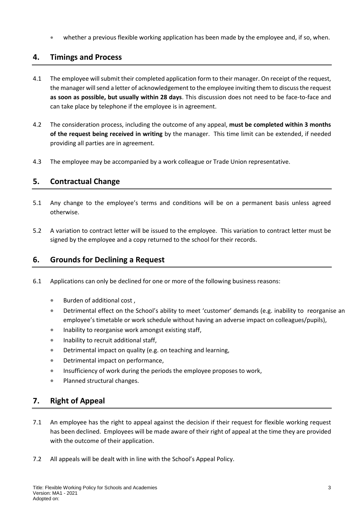whether a previous flexible working application has been made by the employee and, if so, when.

#### **4. Timings and Process**

- 4.1 The employee will submit their completed application form to their manager. On receipt of the request, the manager will send a letter of acknowledgement to the employee inviting them to discuss the request **as soon as possible, but usually within 28 days**. This discussion does not need to be face-to-face and can take place by telephone if the employee is in agreement.
- 4.2 The consideration process, including the outcome of any appeal, **must be completed within 3 months of the request being received in writing** by the manager. This time limit can be extended, if needed providing all parties are in agreement.
- 4.3 The employee may be accompanied by a work colleague or Trade Union representative.

#### **5. Contractual Change**

- 5.1 Any change to the employee's terms and conditions will be on a permanent basis unless agreed otherwise.
- 5.2 A variation to contract letter will be issued to the employee. This variation to contract letter must be signed by the employee and a copy returned to the school for their records.

#### **6. Grounds for Declining a Request**

- 6.1 Applications can only be declined for one or more of the following business reasons:
	- Burden of additional cost ,
	- Detrimental effect on the School's ability to meet 'customer' demands (e.g. inability to reorganise an employee's timetable or work schedule without having an adverse impact on colleagues/pupils),
	- **Inability to reorganise work amongst existing staff,**
	- Inability to recruit additional staff,
	- Detrimental impact on quality (e.g. on teaching and learning,
	- Detrimental impact on performance,
	- Insufficiency of work during the periods the employee proposes to work,
	- Planned structural changes.

#### **7. Right of Appeal**

- 7.1 An employee has the right to appeal against the decision if their request for flexible working request has been declined. Employees will be made aware of their right of appeal at the time they are provided with the outcome of their application.
- 7.2 All appeals will be dealt with in line with the School's Appeal Policy.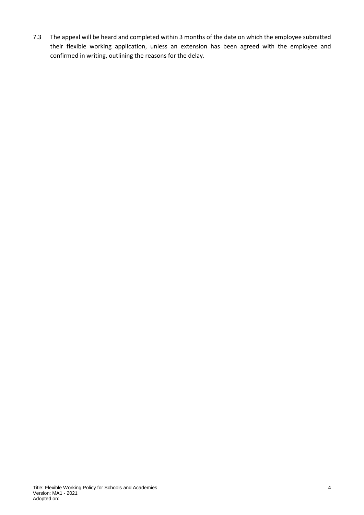7.3 The appeal will be heard and completed within 3 months of the date on which the employee submitted their flexible working application, unless an extension has been agreed with the employee and confirmed in writing, outlining the reasons for the delay.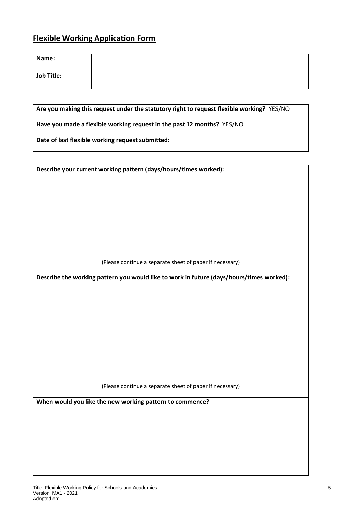## **Flexible Working Application Form**

| Name:             |  |
|-------------------|--|
| <b>Job Title:</b> |  |

**Are you making this request under the statutory right to request flexible working?** YES/NO

**Have you made a flexible working request in the past 12 months?** YES/NO

**Date of last flexible working request submitted:**

**Describe your current working pattern (days/hours/times worked):**

(Please continue a separate sheet of paper if necessary)

**Describe the working pattern you would like to work in future (days/hours/times worked):**

(Please continue a separate sheet of paper if necessary)

**When would you like the new working pattern to commence?**